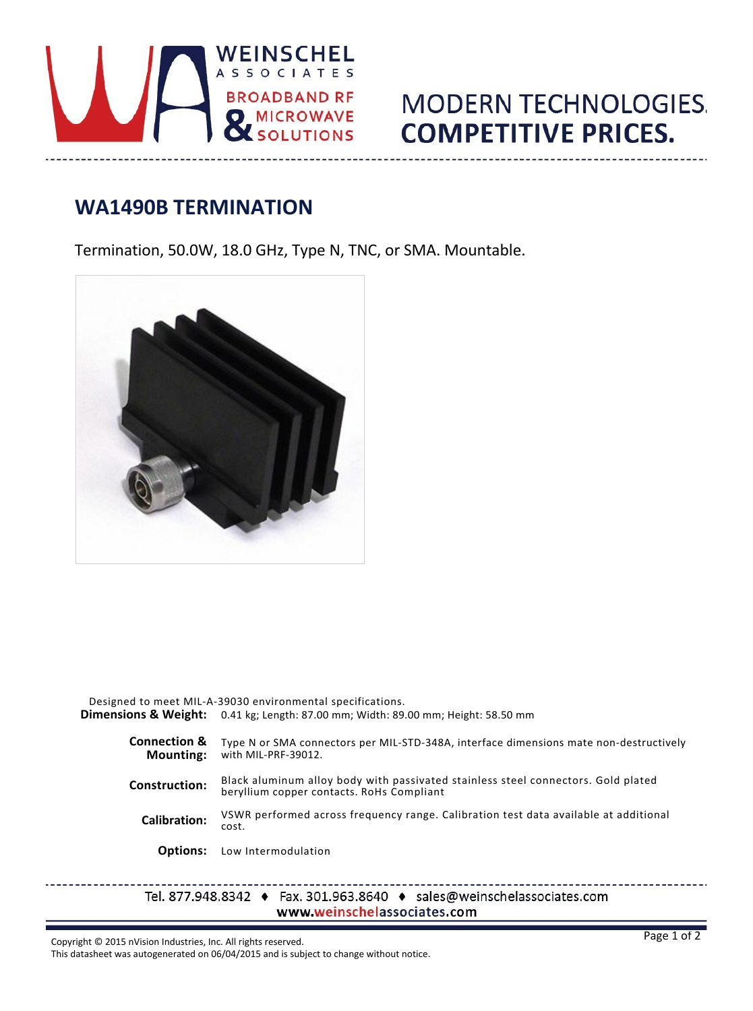

## **MODERN TECHNOLOGIES. COMPETITIVE PRICES.**

## **WA1490B TERMINATION**

Termination, 50.0W, 18.0 GHz, Type N, TNC, or SMA. Mountable.



|                                             | Designed to meet MIL-A-39030 environmental specifications.<br><b>Dimensions &amp; Weight:</b> 0.41 kg; Length: 87.00 mm; Width: 89.00 mm; Height: 58.50 mm |
|---------------------------------------------|------------------------------------------------------------------------------------------------------------------------------------------------------------|
| <b>Connection &amp;</b><br><b>Mounting:</b> | Type N or SMA connectors per MIL-STD-348A, interface dimensions mate non-destructively<br>with MIL-PRF-39012.                                              |
| <b>Construction:</b>                        | Black aluminum alloy body with passivated stainless steel connectors. Gold plated<br>beryllium copper contacts. RoHs Compliant                             |
| Calibration:                                | VSWR performed across frequency range. Calibration test data available at additional<br>cost.                                                              |
| <b>Options:</b>                             | Low Intermodulation                                                                                                                                        |
|                                             | Tel. 877.948.8342 $\leftrightarrow$ Fax. 301.963.8640 $\leftrightarrow$ sales@weinschelassociates.com                                                      |

www.weinschelassociates.com

Copyright © 2015 nVision Industries, Inc. All rights reserved.

 $- - - - -$ 

This datasheet was autogenerated on 06/04/2015 and is subject to change without notice.